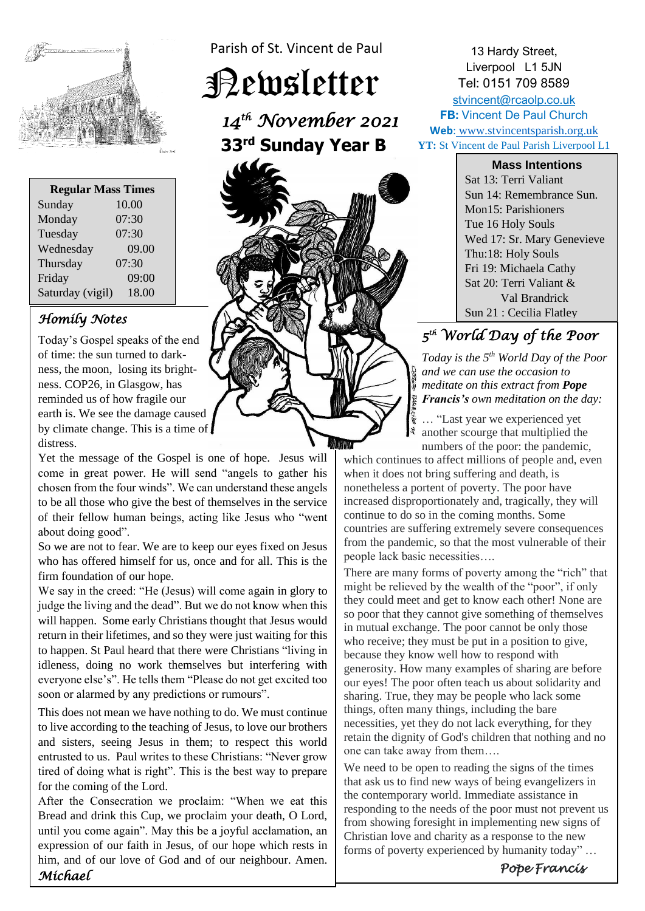

| <b>Regular Mass Times</b> |       |
|---------------------------|-------|
| Sunday                    | 10.00 |
| Monday                    | 07:30 |
| Tuesday                   | 07:30 |
| Wednesday                 | 09.00 |
| Thursday                  | 07:30 |
| Friday                    | 09:00 |
| Saturday (vigil)          | 18.00 |

## *Homily Notes*

Today's Gospel speaks of the end of time: the sun turned to darkness, the moon, losing its brightness. COP26, in Glasgow, has reminded us of how fragile our earth is. We see the damage caused by climate change. This is a time of distress.

Yet the message of the Gospel is one of hope. Jesus will come in great power. He will send "angels to gather his chosen from the four winds". We can understand these angels to be all those who give the best of themselves in the service of their fellow human beings, acting like Jesus who "went about doing good".

So we are not to fear. We are to keep our eyes fixed on Jesus who has offered himself for us, once and for all. This is the firm foundation of our hope.

We say in the creed: "He (Jesus) will come again in glory to judge the living and the dead". But we do not know when this will happen. Some early Christians thought that Jesus would return in their lifetimes, and so they were just waiting for this to happen. St Paul heard that there were Christians "living in idleness, doing no work themselves but interfering with everyone else's". He tells them "Please do not get excited too soon or alarmed by any predictions or rumours".

This does not mean we have nothing to do. We must continue to live according to the teaching of Jesus, to love our brothers and sisters, seeing Jesus in them; to respect this world entrusted to us. Paul writes to these Christians: "Never grow tired of doing what is right". This is the best way to prepare for the coming of the Lord.

After the Consecration we proclaim: "When we eat this Bread and drink this Cup, we proclaim your death, O Lord, until you come again". May this be a joyful acclamation, an expression of our faith in Jesus, of our hope which rests in him, and of our love of God and of our neighbour. Amen. *Michael*

Parish of St. Vincent de Paul

Newsletter

*14th November 2021*   **33 rd Sunday Year B** 



13 Hardy Street, Liverpool L1 5JN Tel: 0151 709 8589 [stvincent@rcaolp.co.uk](mailto:stvincent@rcaolp.co.uk) **FB:** Vincent De Paul Church **Web**: www.stvincentsparish.org.uk **YT:** St Vincent de Paul Parish Liverpool L1

**Mass Intentions**

Sat 13: Terri Valiant Sun 14: Remembrance Sun. Mon15: Parishioners Tue 16 Holy Souls Wed 17: Sr. Mary Genevieve Thu:18: Holy Souls Fri 19: Michaela Cathy Sat 20: Terri Valiant & Val Brandrick Sun 21 : Cecilia Flatley

# *5 th World Day of the Poor*

 *Today is the 5th World Day of the Poor and we can use the occasion to meditate on this extract from Pope Francis's own meditation on the day:*

… "Last year we experienced yet another scourge that multiplied the numbers of the poor: the pandemic,

which continues to affect millions of people and, even when it does not bring suffering and death, is nonetheless a portent of poverty. The poor have increased disproportionately and, tragically, they will continue to do so in the coming months. Some countries are suffering extremely severe consequences from the pandemic, so that the most vulnerable of their people lack basic necessities….

There are many forms of poverty among the "rich" that might be relieved by the wealth of the "poor", if only they could meet and get to know each other! None are so poor that they cannot give something of themselves in mutual exchange. The poor cannot be only those who receive; they must be put in a position to give, because they know well how to respond with generosity. How many examples of sharing are before our eyes! The poor often teach us about solidarity and sharing. True, they may be people who lack some things, often many things, including the bare necessities, yet they do not lack everything, for they retain the dignity of God's children that nothing and no one can take away from them….

We need to be open to reading the signs of the times that ask us to find new ways of being evangelizers in the contemporary world. Immediate assistance in responding to the needs of the poor must not prevent us from showing foresight in implementing new signs of Christian love and charity as a response to the new forms of poverty experienced by humanity today" …

*Pope Francis*